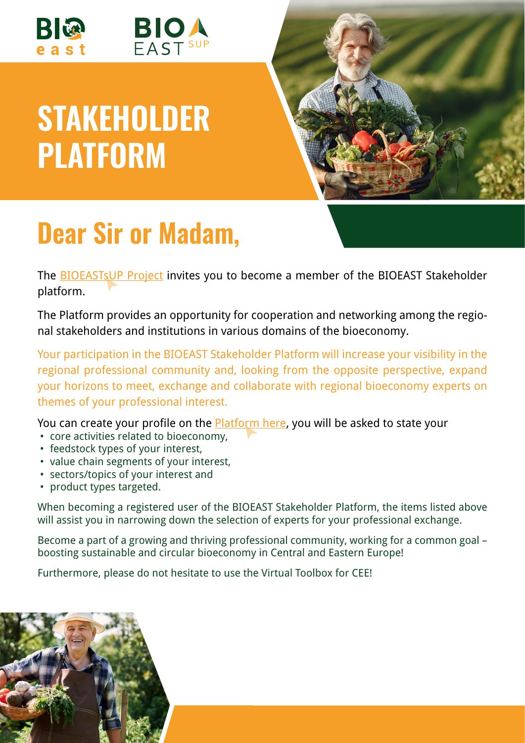



## **STAKEHOLDER PLATFORM**



## **Dear Sir or Madam,**

The [BIOEASTsUP Project](https://bioeast.eu/bioeastsup/) invites you to become a member of the BIOEAST Stakeholder platform.

The Platform provides an opportunity for cooperation and networking among the regional stakeholders and institutions in various domains of the bioeconomy.

Your participation in the BIOEAST Stakeholder Platform will increase your visibility in the regional professional community and, looking from the opposite perspective, expand your horizons to meet, exchange and collaborate with regional bioeconomy experts on themes of your professional interest.

You can create your profile on the **Platform here**, you will be asked to state your

- core activities related to bioeconomy,
- feedstock types of your interest,
- value chain segments of your interest,
- sectors/topics of your interest and
- product types targeted.

When becoming a registered user of the BIOEAST Stakeholder Platform, the items listed above will assist you in narrowing down the selection of experts for your professional exchange.

Become a part of a growing and thriving professional community, working for a common goal – boosting sustainable and circular bioeconomy in Central and Eastern Europe!

Furthermore, please do not hesitate to use the Virtual Toolbox for CEE!